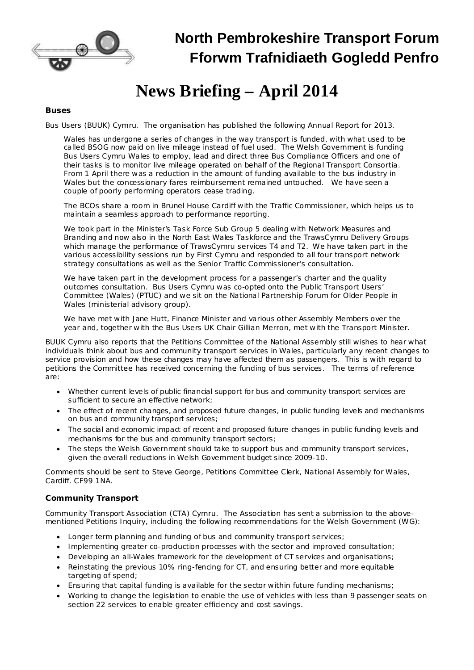

## **North Pembrokeshire Transport Forum Fforwm Trafnidiaeth Gogledd Penfro**

# **News Briefing – April 2014**

#### *Buses*

*Bus Users (BUUK) Cymru.* The organisation has published the following Annual Report for 2013.

Wales has undergone a series of changes in the way transport is funded, with what used to be called BSOG now paid on live mileage instead of fuel used. The Welsh Government is funding Bus Users Cymru Wales to employ, lead and direct three Bus Compliance Officers and one of their tasks is to monitor live mileage operated on behalf of the Regional Transport Consortia. From 1 April there was a reduction in the amount of funding available to the bus industry in Wales but the concessionary fares reimbursement remained untouched. We have seen a couple of poorly performing operators cease trading.

The BCOs share a room in Brunel House Cardiff with the Traffic Commissioner, which helps us to maintain a seamless approach to performance reporting.

We took part in the Minister's Task Force Sub Group 5 dealing with Network Measures and Branding and now also in the North East Wales Taskforce and the TrawsCymru Delivery Groups which manage the performance of TrawsCymru services T4 and T2. We have taken part in the various accessibility sessions run by First Cymru and responded to all four transport network strategy consultations as well as the Senior Traffic Commissioner's consultation.

We have taken part in the development process for a passenger's charter and the quality outcomes consultation. Bus Users Cymru was co-opted onto the Public Transport Users' Committee (Wales) (PTUC) and we sit on the National Partnership Forum for Older People in Wales (ministerial advisory group).

We have met with Jane Hutt, Finance Minister and various other Assembly Members over the year and, together with the Bus Users UK Chair Gillian Merron, met with the Transport Minister.

BUUK Cymru also reports that the Petitions Committee of the National Assembly still wishes to hear what individuals think about bus and community transport services in Wales, particularly any recent changes to service provision and how these changes may have affected them as passengers. This is with regard to petitions the Committee has received concerning the funding of bus services. The terms of reference are:

- · Whether current levels of public financial support for bus and community transport services are sufficient to secure an effective network;
- · The effect of recent changes, and proposed future changes, in public funding levels and mechanisms on bus and community transport services;
- · The social and economic impact of recent and proposed future changes in public funding levels and mechanisms for the bus and community transport sectors;
- The steps the Welsh Government should take to support bus and community transport services, given the overall reductions in Welsh Government budget since 2009-10.

Comments should be sent to Steve George, Petitions Committee Clerk, National Assembly for Wales, Cardiff. CF99 1NA.

#### *Community Transport*

*Community Transport Association (CTA) Cymru*. The Association has sent a submission to the abovementioned Petitions Inquiry, including the following recommendations for the Welsh Government (WG):

- · Longer term planning and funding of bus and community transport services;
- Implementing greater co-production processes with the sector and improved consultation;
- · Developing an all-Wales framework for the development of CT services and organisations;
- · Reinstating the previous 10% ring-fencing for CT, and ensuring better and more equitable targeting of spend;
- Ensuring that capital funding is available for the sector within future funding mechanisms;
- · Working to change the legislation to enable the use of vehicles with less than 9 passenger seats on section 22 services to enable greater efficiency and cost savings.